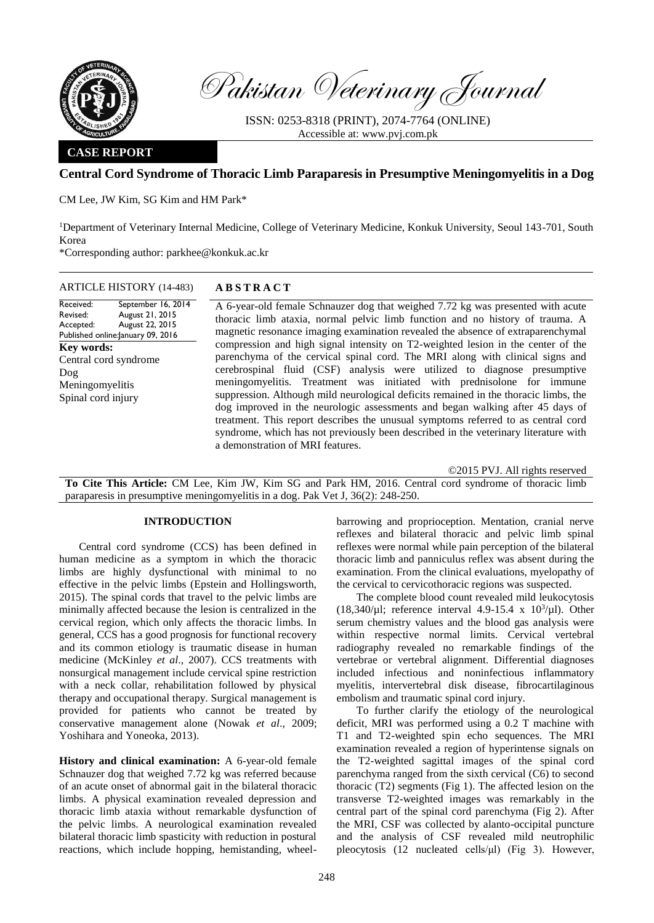

Pakistan Veterinary Journal

ISSN: 0253-8318 (PRINT), 2074-7764 (ONLINE) Accessible at: [www.pvj.com.pk](http://www.pvj.com.pk/)

### **CASE REPORT**

# **Central Cord Syndrome of Thoracic Limb Paraparesis in Presumptive Meningomyelitis in a Dog**

CM Lee, JW Kim, SG Kim and HM Park\*

<sup>1</sup>Department of Veterinary Internal Medicine, College of Veterinary Medicine, Konkuk University, Seoul 143-701, South Korea

\*Corresponding author: parkhee@konkuk.ac.kr

| Received:                         | September 16, 2014 |
|-----------------------------------|--------------------|
| Revised:                          | August 21, 2015    |
| Accepted:                         | August 22, 2015    |
| Published online: anuary 09, 2016 |                    |
| Key words:                        |                    |
| Central cord syndrome             |                    |
| Dog                               |                    |
| Meningomyelitis                   |                    |
| Spinal cord injury                |                    |
|                                   |                    |
|                                   |                    |

## ARTICLE HISTORY (14-483) **A B S T R A C T**

A 6-year-old female Schnauzer dog that weighed 7.72 kg was presented with acute thoracic limb ataxia, normal pelvic limb function and no history of trauma. A magnetic resonance imaging examination revealed the absence of extraparenchymal compression and high signal intensity on T2-weighted lesion in the center of the parenchyma of the cervical spinal cord. The MRI along with clinical signs and cerebrospinal fluid (CSF) analysis were utilized to diagnose presumptive meningomyelitis. Treatment was initiated with prednisolone for immune suppression. Although mild neurological deficits remained in the thoracic limbs, the dog improved in the neurologic assessments and began walking after 45 days of treatment. This report describes the unusual symptoms referred to as central cord syndrome, which has not previously been described in the veterinary literature with a demonstration of MRI features.

©2015 PVJ. All rights reserved

**To Cite This Article:** CM Lee, Kim JW, Kim SG and Park HM, 2016. Central cord syndrome of thoracic limb paraparesis in presumptive meningomyelitis in a dog. Pak Vet J, 36(2): 248-250.

### **INTRODUCTION**

Central cord syndrome (CCS) has been defined in human medicine as a symptom in which the thoracic limbs are highly dysfunctional with minimal to no effective in the pelvic limbs (Epstein and Hollingsworth, 2015). The spinal cords that travel to the pelvic limbs are minimally affected because the lesion is centralized in the cervical region, which only affects the thoracic limbs. In general, CCS has a good prognosis for functional recovery and its common etiology is traumatic disease in human medicine (McKinley *et al*., 2007). CCS treatments with nonsurgical management include cervical spine restriction with a neck collar, rehabilitation followed by physical therapy and occupational therapy. Surgical management is provided for patients who cannot be treated by conservative management alone (Nowak *et al*., 2009; Yoshihara and Yoneoka, 2013).

**History and clinical examination:** A 6-year-old female Schnauzer dog that weighed 7.72 kg was referred because of an acute onset of abnormal gait in the bilateral thoracic limbs. A physical examination revealed depression and thoracic limb ataxia without remarkable dysfunction of the pelvic limbs. A neurological examination revealed bilateral thoracic limb spasticity with reduction in postural reactions, which include hopping, hemistanding, wheel-

barrowing and proprioception. Mentation, cranial nerve reflexes and bilateral thoracic and pelvic limb spinal reflexes were normal while pain perception of the bilateral thoracic limb and panniculus reflex was absent during the examination. From the clinical evaluations, myelopathy of the cervical to cervicothoracic regions was suspected.

The complete blood count revealed mild leukocytosis (18,340/ $\mu$ l; reference interval 4.9-15.4 x 10<sup>3</sup>/ $\mu$ l). Other serum chemistry values and the blood gas analysis were within respective normal limits. Cervical vertebral radiography revealed no remarkable findings of the vertebrae or vertebral alignment. Differential diagnoses included infectious and noninfectious inflammatory myelitis, intervertebral disk disease, fibrocartilaginous embolism and traumatic spinal cord injury.

To further clarify the etiology of the neurological deficit, MRI was performed using a 0.2 T machine with T1 and T2-weighted spin echo sequences. The MRI examination revealed a region of hyperintense signals on the T2-weighted sagittal images of the spinal cord parenchyma ranged from the sixth cervical (C6) to second thoracic (T2) segments (Fig 1). The affected lesion on the transverse T2-weighted images was remarkably in the central part of the spinal cord parenchyma (Fig 2). After the MRI, CSF was collected by alanto-occipital puncture and the analysis of CSF revealed mild neutrophilic pleocytosis (12 nucleated cells/μl) (Fig 3). However,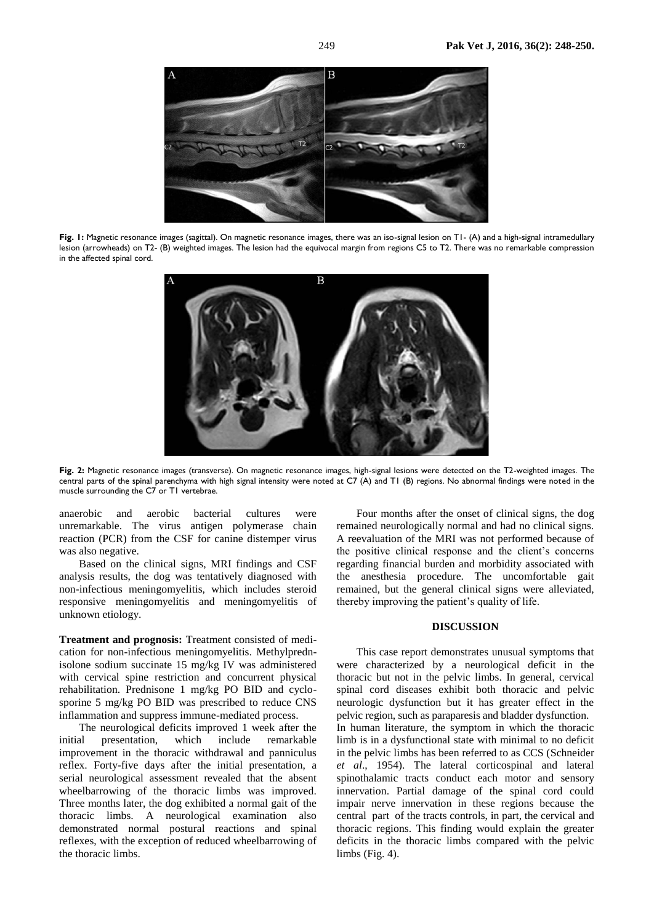

**Fig. 1:** Magnetic resonance images (sagittal). On magnetic resonance images, there was an iso-signal lesion on T1- (A) and a high-signal intramedullary lesion (arrowheads) on T2- (B) weighted images. The lesion had the equivocal margin from regions C5 to T2. There was no remarkable compression in the affected spinal cord.



**Fig. 2:** Magnetic resonance images (transverse). On magnetic resonance images, high-signal lesions were detected on the T2-weighted images. The central parts of the spinal parenchyma with high signal intensity were noted at C7 (A) and T1 (B) regions. No abnormal findings were noted in the muscle surrounding the C7 or T1 vertebrae.

anaerobic and aerobic bacterial cultures were unremarkable. The virus antigen polymerase chain reaction (PCR) from the CSF for canine distemper virus was also negative.

Based on the clinical signs, MRI findings and CSF analysis results, the dog was tentatively diagnosed with non-infectious meningomyelitis, which includes steroid responsive meningomyelitis and meningomyelitis of unknown etiology.

**Treatment and prognosis:** Treatment consisted of medication for non-infectious meningomyelitis. Methylprednisolone sodium succinate 15 mg/kg IV was administered with cervical spine restriction and concurrent physical rehabilitation. Prednisone 1 mg/kg PO BID and cyclosporine 5 mg/kg PO BID was prescribed to reduce CNS inflammation and suppress immune-mediated process.

The neurological deficits improved 1 week after the initial presentation, which include remarkable improvement in the thoracic withdrawal and panniculus reflex. Forty-five days after the initial presentation, a serial neurological assessment revealed that the absent wheelbarrowing of the thoracic limbs was improved. Three months later, the dog exhibited a normal gait of the thoracic limbs. A neurological examination also demonstrated normal postural reactions and spinal reflexes, with the exception of reduced wheelbarrowing of the thoracic limbs.

Four months after the onset of clinical signs, the dog remained neurologically normal and had no clinical signs. A reevaluation of the MRI was not performed because of the positive clinical response and the client's concerns regarding financial burden and morbidity associated with the anesthesia procedure. The uncomfortable gait remained, but the general clinical signs were alleviated, thereby improving the patient's quality of life.

#### **DISCUSSION**

This case report demonstrates unusual symptoms that were characterized by a neurological deficit in the thoracic but not in the pelvic limbs. In general, cervical spinal cord diseases exhibit both thoracic and pelvic neurologic dysfunction but it has greater effect in the pelvic region, such as paraparesis and bladder dysfunction. In human literature, the symptom in which the thoracic limb is in a dysfunctional state with minimal to no deficit in the pelvic limbs has been referred to as CCS (Schneider *et al*., 1954). The lateral corticospinal and lateral spinothalamic tracts conduct each motor and sensory innervation. Partial damage of the spinal cord could impair nerve innervation in these regions because the central part of the tracts controls, in part, the cervical and thoracic regions. This finding would explain the greater deficits in the thoracic limbs compared with the pelvic limbs (Fig. 4).